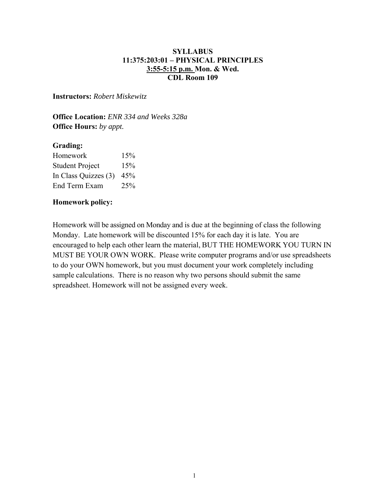## **SYLLABUS 11:375:203:01 – PHYSICAL PRINCIPLES 3:55-5:15 p.m. Mon. & Wed. CDL Room 109**

**Instructors:** *Robert Miskewitz* 

**Office Location:** *ENR 334 and Weeks 328a*  **Office Hours:** *by appt.*

## **Grading:**

Homework 15% Student Project 15% In Class Quizzes (3) 45% End Term Exam 25%

## **Homework policy:**

Homework will be assigned on Monday and is due at the beginning of class the following Monday. Late homework will be discounted 15% for each day it is late. You are encouraged to help each other learn the material, BUT THE HOMEWORK YOU TURN IN MUST BE YOUR OWN WORK. Please write computer programs and/or use spreadsheets to do your OWN homework, but you must document your work completely including sample calculations. There is no reason why two persons should submit the same spreadsheet. Homework will not be assigned every week.